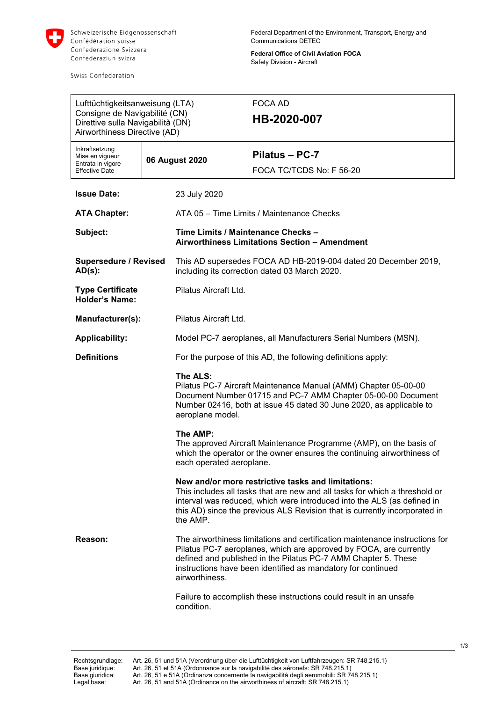

Swiss Confederation

**Federal Office of Civil Aviation FOCA** Safety Division - Aircraft

| Lufttüchtigkeitsanweisung (LTA)<br>Consigne de Navigabilité (CN)<br>Direttive sulla Navigabilità (DN)<br>Airworthiness Directive (AD) |                |                                                                                                                                                                                                                                                                                                                                                                              | FOCA AD<br>HB-2020-007                     |
|---------------------------------------------------------------------------------------------------------------------------------------|----------------|------------------------------------------------------------------------------------------------------------------------------------------------------------------------------------------------------------------------------------------------------------------------------------------------------------------------------------------------------------------------------|--------------------------------------------|
| Inkraftsetzung<br>Mise en vigueur<br>Entrata in vigore<br><b>Effective Date</b>                                                       | 06 August 2020 |                                                                                                                                                                                                                                                                                                                                                                              | Pilatus - PC-7<br>FOCA TC/TCDS No: F 56-20 |
| <b>Issue Date:</b>                                                                                                                    |                | 23 July 2020                                                                                                                                                                                                                                                                                                                                                                 |                                            |
| <b>ATA Chapter:</b>                                                                                                                   |                | ATA 05 - Time Limits / Maintenance Checks                                                                                                                                                                                                                                                                                                                                    |                                            |
| Subject:                                                                                                                              |                | Time Limits / Maintenance Checks -<br>Airworthiness Limitations Section - Amendment                                                                                                                                                                                                                                                                                          |                                            |
| <b>Supersedure / Revised</b><br>$AD(s)$ :                                                                                             |                | This AD supersedes FOCA AD HB-2019-004 dated 20 December 2019,<br>including its correction dated 03 March 2020.                                                                                                                                                                                                                                                              |                                            |
| <b>Type Certificate</b><br><b>Holder's Name:</b>                                                                                      |                | Pilatus Aircraft Ltd.                                                                                                                                                                                                                                                                                                                                                        |                                            |
| Manufacturer(s):                                                                                                                      |                | Pilatus Aircraft Ltd.                                                                                                                                                                                                                                                                                                                                                        |                                            |
| <b>Applicability:</b>                                                                                                                 |                | Model PC-7 aeroplanes, all Manufacturers Serial Numbers (MSN).                                                                                                                                                                                                                                                                                                               |                                            |
| <b>Definitions</b>                                                                                                                    |                | For the purpose of this AD, the following definitions apply:                                                                                                                                                                                                                                                                                                                 |                                            |
|                                                                                                                                       |                | The ALS:<br>Pilatus PC-7 Aircraft Maintenance Manual (AMM) Chapter 05-00-00<br>Document Number 01715 and PC-7 AMM Chapter 05-00-00 Document<br>Number 02416, both at issue 45 dated 30 June 2020, as applicable to<br>aeroplane model.                                                                                                                                       |                                            |
|                                                                                                                                       |                | The AMP:<br>The approved Aircraft Maintenance Programme (AMP), on the basis of<br>which the operator or the owner ensures the continuing airworthiness of<br>each operated aeroplane.                                                                                                                                                                                        |                                            |
|                                                                                                                                       |                | New and/or more restrictive tasks and limitations:<br>This includes all tasks that are new and all tasks for which a threshold or<br>interval was reduced, which were introduced into the ALS (as defined in<br>this AD) since the previous ALS Revision that is currently incorporated in<br>the AMP.                                                                       |                                            |
| Reason:                                                                                                                               |                | The airworthiness limitations and certification maintenance instructions for<br>Pilatus PC-7 aeroplanes, which are approved by FOCA, are currently<br>defined and published in the Pilatus PC-7 AMM Chapter 5. These<br>instructions have been identified as mandatory for continued<br>airworthiness.<br>Failure to accomplish these instructions could result in an unsafe |                                            |
|                                                                                                                                       |                | condition.                                                                                                                                                                                                                                                                                                                                                                   |                                            |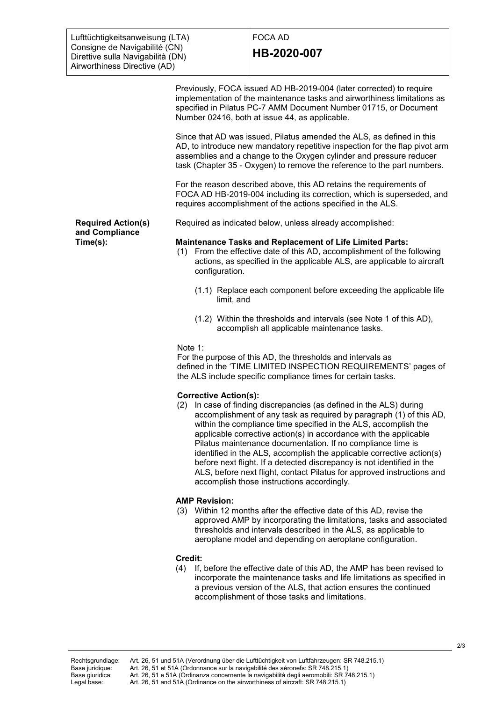# FOCA AD **HB-2020-007**

Previously, FOCA issued AD HB-2019-004 (later corrected) to require implementation of the maintenance tasks and airworthiness limitations as specified in Pilatus PC-7 AMM Document Number 01715, or Document Number 02416, both at issue 44, as applicable.

Since that AD was issued, Pilatus amended the ALS, as defined in this AD, to introduce new mandatory repetitive inspection for the flap pivot arm assemblies and a change to the Oxygen cylinder and pressure reducer task (Chapter 35 - Oxygen) to remove the reference to the part numbers.

For the reason described above, this AD retains the requirements of FOCA AD HB-2019-004 including its correction, which is superseded, and requires accomplishment of the actions specified in the ALS.

Required as indicated below, unless already accomplished:

**Required Action(s) and Compliance Time(s):**

#### **Maintenance Tasks and Replacement of Life Limited Parts:**

- (1) From the effective date of this AD, accomplishment of the following actions, as specified in the applicable ALS, are applicable to aircraft configuration.
	- (1.1) Replace each component before exceeding the applicable life limit, and
	- (1.2) Within the thresholds and intervals (see Note 1 of this AD), accomplish all applicable maintenance tasks.

#### Note 1:

For the purpose of this AD, the thresholds and intervals as defined in the 'TIME LIMITED INSPECTION REQUIREMENTS' pages of the ALS include specific compliance times for certain tasks.

### **Corrective Action(s):**

(2) In case of finding discrepancies (as defined in the ALS) during accomplishment of any task as required by paragraph (1) of this AD, within the compliance time specified in the ALS, accomplish the applicable corrective action(s) in accordance with the applicable Pilatus maintenance documentation. If no compliance time is identified in the ALS, accomplish the applicable corrective action(s) before next flight. If a detected discrepancy is not identified in the ALS, before next flight, contact Pilatus for approved instructions and accomplish those instructions accordingly.

### **AMP Revision:**

(3) Within 12 months after the effective date of this AD, revise the approved AMP by incorporating the limitations, tasks and associated thresholds and intervals described in the ALS, as applicable to aeroplane model and depending on aeroplane configuration.

## **Credit:**

(4) If, before the effective date of this AD, the AMP has been revised to incorporate the maintenance tasks and life limitations as specified in a previous version of the ALS, that action ensures the continued accomplishment of those tasks and limitations.